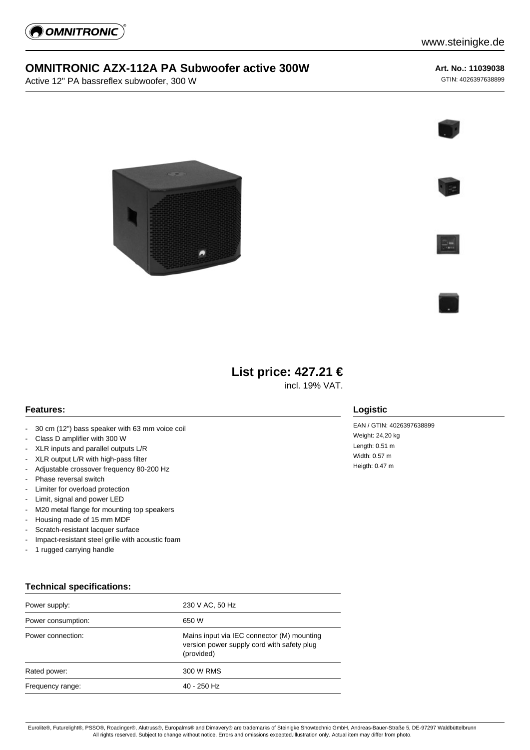

## **OMNITRONIC AZX-112A PA Subwoofer active 300W**

Active 12" PA bassreflex subwoofer, 300 W

#### **Art. No.: 11039038**

GTIN: 4026397638899











# **List price: 427.21 €**

incl. 19% VAT.

**Logistic**

Weight: 24,20 kg Length: 0.51 m Width: 0.57 m Heigth: 0.47 m

EAN / GTIN: 4026397638899

### **Features:**

- 30 cm (12") bass speaker with 63 mm voice coil
- Class D amplifier with 300 W
- XLR inputs and parallel outputs L/R
- XLR output L/R with high-pass filter
- Adjustable crossover frequency 80-200 Hz
- Phase reversal switch
- Limiter for overload protection
- Limit, signal and power LED
- M20 metal flange for mounting top speakers
- Housing made of 15 mm MDF
- Scratch-resistant lacquer surface
- Impact-resistant steel grille with acoustic foam
- 1 rugged carrying handle

#### **Technical specifications:**

| Power supply:      | 230 V AC, 50 Hz                                                                                        |
|--------------------|--------------------------------------------------------------------------------------------------------|
| Power consumption: | 650 W                                                                                                  |
| Power connection:  | Mains input via IEC connector (M) mounting<br>version power supply cord with safety plug<br>(provided) |
| Rated power:       | 300 W RMS                                                                                              |
| Frequency range:   | $40 - 250$ Hz                                                                                          |

#### Eurolite®, Futurelight®, PSSO®, Roadinger®, Alutruss®, Europalms® and Dimavery® are trademarks of Steinigke Showtechnic GmbH, Andreas-Bauer-Straße 5, DE-97297 Waldbüttelbrunn All rights reserved. Subject to change without notice. Errors and omissions excepted.Illustration only. Actual item may differ from photo.